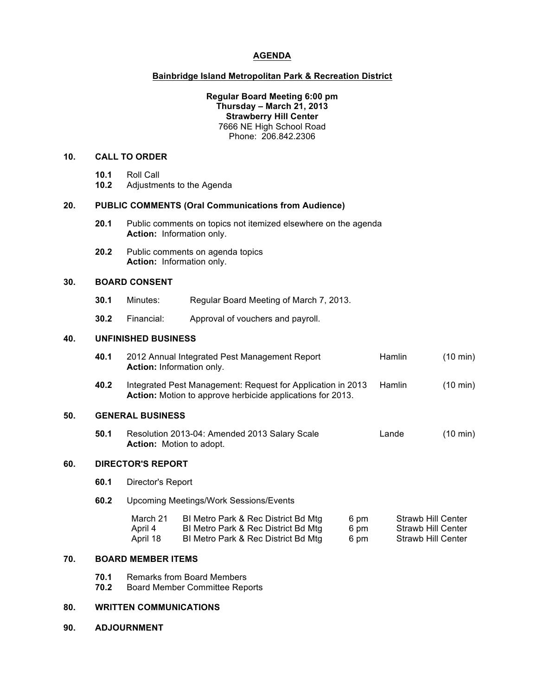### **AGENDA**

#### **Bainbridge Island Metropolitan Park & Recreation District**

#### **Regular Board Meeting 6:00 pm Thursday – March 21, 2013 Strawberry Hill Center** 7666 NE High School Road Phone: 206.842.2306

#### **10. CALL TO ORDER**

- **10.1** Roll Call
- **10.2** Adjustments to the Agenda

#### **20. PUBLIC COMMENTS (Oral Communications from Audience)**

- **20.1** Public comments on topics not itemized elsewhere on the agenda **Action:** Information only.
- **20.2** Public comments on agenda topics **Action:** Information only.

### **30. BOARD CONSENT**

- **30.1** Minutes: Regular Board Meeting of March 7, 2013.
- **30.2** Financial: Approval of vouchers and payroll.

### **40. UNFINISHED BUSINESS**

| 40.1 | 2012 Annual Integrated Pest Management Report<br><b>Action:</b> Information only.                                                | <b>Hamlin</b> | $(10 \text{ min})$ |
|------|----------------------------------------------------------------------------------------------------------------------------------|---------------|--------------------|
| 40.2 | Integrated Pest Management: Request for Application in 2013<br><b>Action:</b> Motion to approve herbicide applications for 2013. | Hamlin        | $(10 \text{ min})$ |

#### **50. GENERAL BUSINESS**

**50.1** Resolution 2013-04: Amended 2013 Salary Scale Lande (10 min) **Action:** Motion to adopt.

#### **60. DIRECTOR'S REPORT**

- **60.1** Director's Report
- **60.2** Upcoming Meetings/Work Sessions/Events

| March 21 | BI Metro Park & Rec District Bd Mtg | 6 pm | Strawb Hill Center |
|----------|-------------------------------------|------|--------------------|
| April 4  | BI Metro Park & Rec District Bd Mtg | 6 pm | Strawb Hill Center |
| April 18 | BI Metro Park & Rec District Bd Mtg | 6 pm | Strawb Hill Center |

#### **70. BOARD MEMBER ITEMS**

- **70.1** Remarks from Board Members
- **70.2** Board Member Committee Reports

#### **80. WRITTEN COMMUNICATIONS**

**90. ADJOURNMENT**